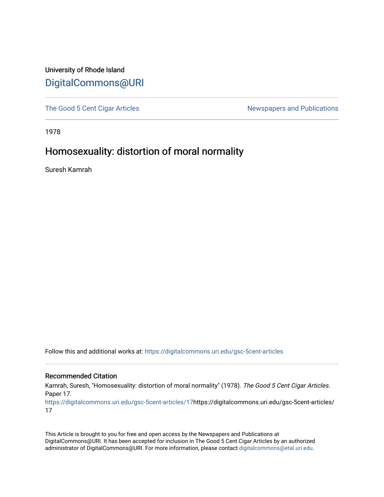## University of Rhode Island [DigitalCommons@URI](https://digitalcommons.uri.edu/)

[The Good 5 Cent Cigar Articles](https://digitalcommons.uri.edu/gsc-5cent-articles) Newspapers and Publications

1978

## Homosexuality: distortion of moral normality

Suresh Kamrah

Follow this and additional works at: [https://digitalcommons.uri.edu/gsc-5cent-articles](https://digitalcommons.uri.edu/gsc-5cent-articles?utm_source=digitalcommons.uri.edu%2Fgsc-5cent-articles%2F17&utm_medium=PDF&utm_campaign=PDFCoverPages) 

## Recommended Citation

Kamrah, Suresh, "Homosexuality: distortion of moral normality" (1978). The Good 5 Cent Cigar Articles. Paper 17.

[https://digitalcommons.uri.edu/gsc-5cent-articles/17](https://digitalcommons.uri.edu/gsc-5cent-articles/17?utm_source=digitalcommons.uri.edu%2Fgsc-5cent-articles%2F17&utm_medium=PDF&utm_campaign=PDFCoverPages)https://digitalcommons.uri.edu/gsc-5cent-articles/ 17

This Article is brought to you for free and open access by the Newspapers and Publications at DigitalCommons@URI. It has been accepted for inclusion in The Good 5 Cent Cigar Articles by an authorized administrator of DigitalCommons@URI. For more information, please contact [digitalcommons@etal.uri.edu.](mailto:digitalcommons@etal.uri.edu)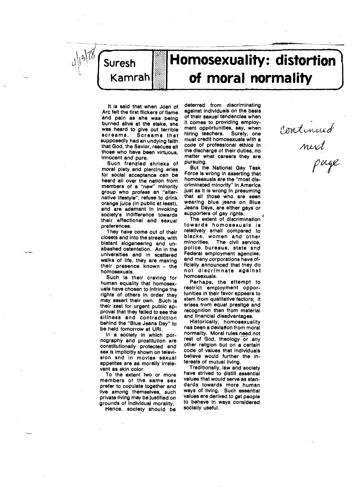

**"** 

## ---· , **"I**  (1988) **Homosexuality: distortion | of moral normality**

It Is said that when Joan of Arc felt the first flickers of flame and pain as she was being burned alive at the **stake,** she was heard to **give** out terrible screams. Screams that supposedly had an undying faith that God, the Savior, rescues all those who have been virtuous, Innocent and pure.

Such frenzied shrieks of moral piety and piercing eries for social acceptance can be heard all over the nation from members of a "new" minority group who profess an "alternative lifestyle", refuse to drink orange Juice (In publlc at least), and are adamant in invoking society's indifference towards their affectional and sexual preferences.

They have come out of their closets and Into the streets, with blatant sloganeering and un**abashed** ostentation. An In the universities and In **scattered**  walks of life, they are making their presence known - the homosexuals.

Such is their craving for human equality that homosexuals have chosen to Infringe the rights of others in order they may assert their own. Such-ls their zest for urgent public approval that they failed to see the slllness and contradiction behind the "Blue Jeana Day" to be held tomorrow at URI.

In a society in which pornography and prostitution **are**  constltutlonally protected and sex is implicitly shown on television and In movies sexual appetites are as morally irrelevant as skin color.

To the extent two or more members of the **same sex**  prefer to copulate together and live among themselves, such private living may be Justified on grounds of Individual morality.

Hence, society should be

 $\ddot{\phantom{0}}$ 

deterred from discriminating **against** lndlvlduals on the **basis**  of their sexual tendencies when It comes to providing employment opportunities, say, when hiring teachers. Surely, one must credit homosexuals with a code of professlonal ethics In the discharge of their duties, no matter what careers they are pursuing.

But the National Gay Task Force is wrong in asserting that homosexuals are the "most discriminated minority" In America just as it is wrong in presuming that all those who are seen **wearing** blue Jeans on Blue Jeans Days, are either **gays** or supporters of gay rights.

The extent of discrimination towards homosexuals Is relatively small compared to<br>blacks, women and other minorities. The civil service, police bureaus, **state** and Federal employment **agencies,**  and many corporations **have** officially announced that they do not dlscrlmnate **against**  homosexuals. .

Perhaps, the attempt to restrict employment opportunities In their favor **appears** to stem from qualitative factors: It **arises** from equal **presltge** and recognition than from material and financial disadvantages.

Historically, homosexuality has been a deviation from moral normallty. Moral rules need not rest of God, theology or any other rellglon but on a certain code of values that individuals believe would further the Interests of mutual living.

Traditionally, law and society have strived to distill essential values that would **serve as** standards towards more human ways of living. Such essential values are derived to get people to behave In **ways** considered socially useful.

*CJrz!d, l,/Vvt,.ULJ*  Mirit  $\rho$ ugl

~